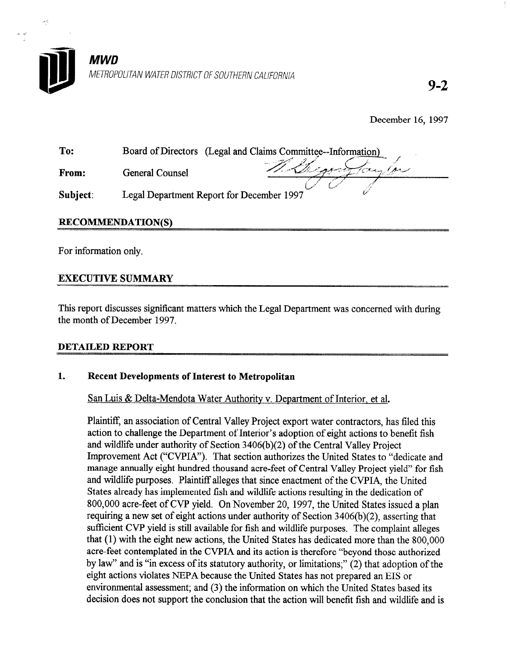

December 16, 1997

To: Board of Directors (Legal and Claims Committee--Information)

From: General Counsel

William

Subject: Legal Department Report for December 1997

# RECOMMENDATION(S)

For information only.

# EXECUTIVE SUMMARY

This report discusses significant matters which the Legal Department was concerned with during the month of December 1997.

# DETAILED REPORT

# 1. Recent Developments of Interest to Metropolitan

San Luis & Delta-Mendota Water Authority v. Department of Interior, et al.

Plaintiff, an association of Central Valley Project export water contractors, has filed this action to challenge the Department of Interior's adoption of eight actions to benefit fish and wildlife under authority of Section 3406(b)(2) of the Central Valley Project Improvement Act ("CVPIA"). That section authorizes the United States to "dedicate and manage annually eight hundred thousand acre-feet of Central Valley Project yield" for fish and wildlife purposes. Plaintiff alleges that since enactment of the CVPIA, the United States already has implemented fish and wildlife actions resulting in the dedication of 800,000 acre-feet of CVP yield. On November 20, 1997, the United States issued a plan requiring a new set of eight actions under authority of Section 3406(b)(2), asserting that sufficient CVP yield is still available for fish and wildlife purposes. The complaint alleges that (1) with the eight new actions, the United States has dedicated more than the 800,000 acre-feet contemplated in the CVPIA and its action is therefore "beyond those authorized by law" and is "in excess of its statutory authority, or limitations;" (2) that adoption of the eight actions violates NEPA because the United States has not prepared an EIS or environmental assessment; and (3) the information on which the United States based its decision does not support the conclusion that the action will benefit fish and wildlife and is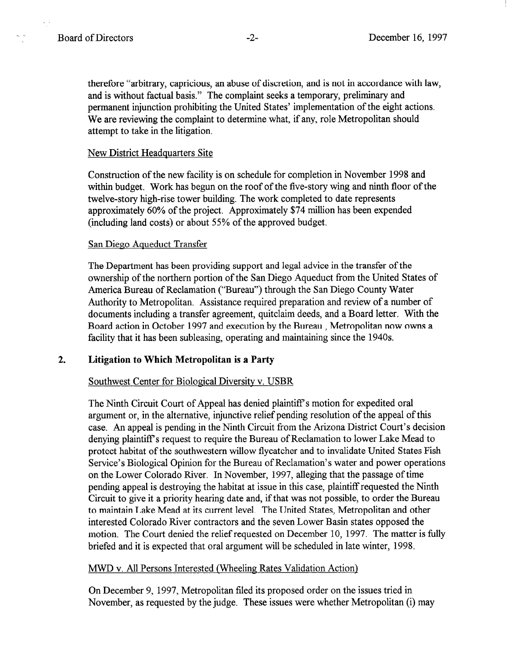therefore "arbitrary, capricious, an abuse of discretion, and is not in accordance with law, and is without factual basis." The complaint seeks a temporary, preliminary and permanent injunction prohibiting the United States' implementation of the eight actions. We are reviewing the complaint to determine what, if any, role Metropolitan should attempt to take in the litigation.

### New District Headauarters Site

Construction of the new facility is on schedule for completion in November 1998 and within budget. Work has begun on the roof of the five-story wing and ninth floor of the twelve-story high-rise tower building. The work completed to date represents approximately 60% of the project. Approximately \$74 million has been expended (including land costs) or about 55% of the approved budget.

### San Diego Aqueduct Transfer

The Department has been providing support and legal advice in the transfer of the ownership of the northern portion of the San Diego Aqueduct from the United States of America Bureau of Reclamation ("Bureau") through the San Diego County Water Authority to Metropolitan. Assistance required preparation and review of a number of documents including a transfer agreement, quitclaim deeds, and a Board letter. With the Board action in October 1997 and execution by the Bureau , Metropolitan now owns a facility that it has been subleasing, operating and maintaining since the 1940s.

# 2. Litigation to Which Metropolitan is a Party

# Southwest Center for Biological Diversity v. USBR

The Ninth Circuit Court of Appeal has denied plaintiff's motion for expedited oral argument or, in the alternative, injunctive relief pending resolution of the appeal of this case. An appeal is pending in the Ninth Circuit from the Arizona District Court's decision denying plaintiff's request to require the Bureau of Reclamation to lower Lake Mead to protect habitat of the southwestern willow flycatcher and to invalidate United States Fish Service's Biological Opinion for the Bureau of Reclamation's water and power operations on the Lower Colorado River. In November, 1997, alleging that the passage of time pending appeal is destroying the habitat at issue in this case, plaintiff requested the Ninth Circuit to give it a priority hearing date and, if that was not possible, to order the Bureau to maintain Lake Mead at its current level. The United States, Metropolitan and other interested Colorado River contractors and the seven Lower Basin states opposed the motion. The Court denied the relief requested on December 10, 1997. The matter is fully briefed and it is expected that oral argument will be scheduled in late winter, 1998.

# MWD v. All Persons Interested (Wheeling Rates Validation Action]

On December 9, 1997, Metropolitan filed its proposed order on the issues tried in November, as requested by the judge. These issues were whether Metropolitan (i) may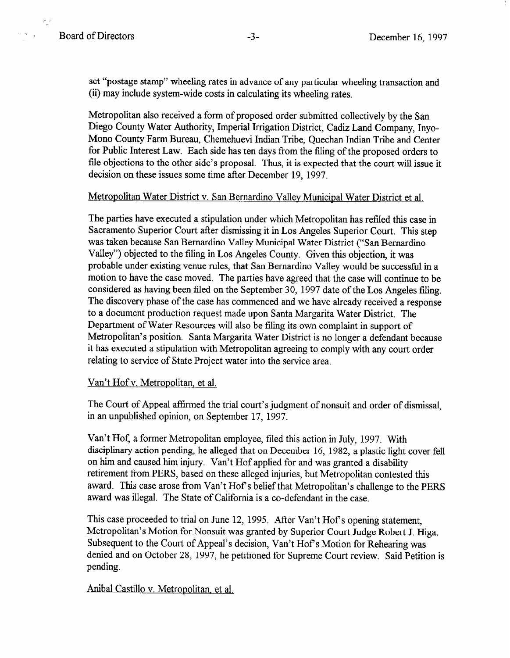$\kappa_{\rm F}=\kappa_{\rm K}$  .  $\bar{\Delta}$ 

set "postage stamp" wheeling rates in advance of any particular wheeling transaction and (ii) may include system-wide costs in calculating its wheeling rates.

Metropolitan also received a form of proposed order submitted collectively by the San Diego County Water Authority, Imperial Irrigation District, Cadiz Land Company, Inyo-Mono County Farm Bureau, Chemehuevi Indian Tribe, Quechan Indian Tribe and Center for Public Interest Law. Each side has ten days from the filing of the proposed orders to file objections to the other side's proposal. Thus, it is expected that the court will issue it decision on these issues some time after December 19, 1997.

#### Metropolitan Water District v. San Bernardino Valley Municipal Water District et al.

The parties have executed a stipulation under which Metropolitan has refiled this case in Sacramento Superior Court after dismissing it in Los Angeles Superior Court. This step was taken because San Bernardino Valley Municipal Water District ("San Bernardino Valley") objected to the filing in Los Angeles County. Given this objection, it was probable under existing venue rules, that San Bernardino Valley would be successful in a motion to have the case moved. The parties have agreed that the case will continue to be considered as having been filed on the September 30, 1997 date of the Los Angeles filing. The discovery phase of the case has commenced and we have already received a response to a document production request made upon Santa Margarita Water District. The Department of Water Resources will also be filing its own complaint in support of Metropolitan's position. Santa Margarita Water District is no longer a defendant because it has executed a stipulation with Metropolitan agreeing to comply with any court order relating to service of State Project water into the service area.

#### Van't Hof v. Metropolitan. et al.

The Court of Appeal affirmed the trial court's judgment of nonsuit and order of dismissal, in an unpublished opinion, on September 17, 1997.

Van't Hof, a former Metropolitan employee, filed this action in July, 1997. With disciplinary action pending, he alleged that on December 16, 1982, a plastic light cover fell on him and caused him injury. Van't Hof applied for and was granted a disability retirement from PERS, based on these alleged injuries, but Metropolitan contested this award. This case arose from Van't Hof's belief that Metropolitan's challenge to the PERS award was illegal. The State of California is a co-defendant in the case.

This case proceeded to trial on June 12, 1995. After Van't Hof's opening statement, Metropolitan's Motion for Nonsuit was granted by Superior Court Judge Robert J. Higa. Subsequent to the Court of Appeal's decision, Van't Hof's Motion for Rehearing was denied and on October 28, 1997, he petitioned for Supreme Court review. Said Petition is pending.

Anibal Castillo v. Metropolitan. et al.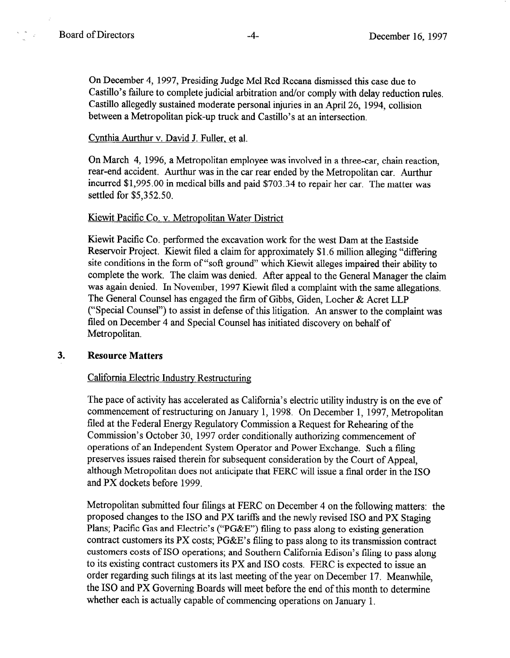$\hat{\vec{z}}$ 

On December 4, 1997, Presiding Judge Mel Red Recana dismissed this case due to Castillo's failure to complete judicial arbitration and/or comply with delay reduction rules. Castillo allegedly sustained moderate personal injuries in an April 26, 1994, collision between a Metropolitan pick-up truck and Castillo's at an intersection.

Cynthia Aurthur v. David J. Fuller, et al.

On March 4, 1996, a Metropolitan employee was involved in a three-car, chain reaction, rear-end accident. Aurthur was in the car rear ended by the Metropolitan car. Aurthur incurred \$1,995.00 in medical bills and paid \$703.34 to repair her car. The matter was settled for \$5,352.50.

### Kiewit Pacific Co. v. Metropolitan Water District

Kiewit Pacific Co. performed the excavation work for the west Dam at the Eastside Reservoir Project. Kiewit filed a claim for approximately \$1.6 million alleging "differing site conditions in the form of "soft ground" which Kiewit alleges impaired their ability to complete the work. The claim was denied. After appeal to the General Manager the claim was again denied. In November, 1997 Kiewit filed a complaint with the same allegations. The General Counsel has engaged the firm of Gibbs, Giden, Locher & Acret LLP ("Special Counsel") to assist in defense of this litigation. An answer to the complaint was filed on December 4 and Special Counsel has initiated discovery on behalf of Metropolitan.

# 3. Resource Matters

# California Electric Industrv Restructuring

The pace of activity has accelerated as California's electric utility industry is on the eve of commencement of restructuring on January 1, 1998. On December 1, 1997, Metropolitan filed at the Federal Energy Regulatory Commission a Request for Rehearing of the Commission's October 30, 1997 order conditionally authorizing commencement of operations of an Independent System Operator and Power Exchange. Such a filing preserves issues raised therein for subsequent consideration by the Court of Appeal, although Metropolitan does not anticipate that FERC will issue a final order in the IS0 and PX dockets before 1999.

Metropolitan submitted four filings at FERC on December 4 on the following matters: the proposed changes to the IS0 and PX tariffs and the newly revised IS0 and PX Staging Plans; Pacific Gas and Electric's ("PG&E") filing to pass along to existing generation contract customers its PX costs; PG&E's filing to pass along to its transmission contract customers costs of IS0 operations; and Southern California Edison's filing to pass along to its existing contract customers its PX and IS0 costs. FERC is expected to issue an order regarding such filings at its last meeting of the year on December 17. Meanwhile, the IS0 and PX Governing Boards will meet before the end of this month to determine whether each is actually capable of commencing operations on January 1.